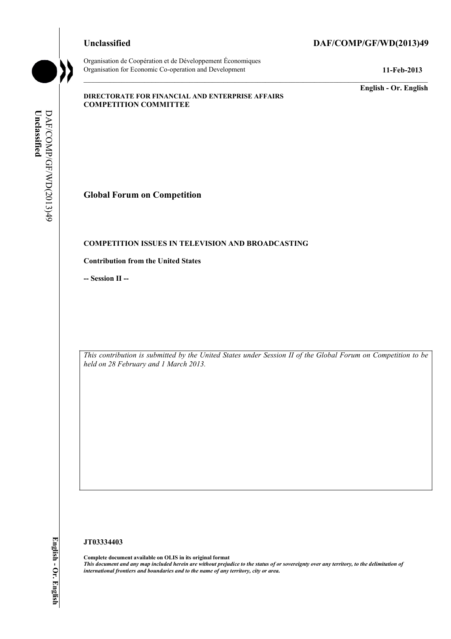Organisation de Coopération et de Développement Économiques Organisation for Economic Co-operation and Development **11-Feb-2013** 

# **Unclassified DAF/COMP/GF/WD(2013)49**

**English - Or. English** 

## **DIRECTORATE FOR FINANCIAL AND ENTERPRISE AFFAIRS COMPETITION COMMITTEE**

Unclassified **Unclassified**  DAF/COMP/GF/WD(2013)49 DAF/COMP/GF/WD(2013)49

# **Global Forum on Competition**

## **COMPETITION ISSUES IN TELEVISION AND BROADCASTING**

## **Contribution from the United States**

**-- Session II --**

*This contribution is submitted by the United States under Session II of the Global Forum on Competition to be held on 28 February and 1 March 2013.* 

### **JT03334403**

 **Complete document available on OLIS in its original format**   *This document and any map included herein are without prejudice to the status of or sovereignty over any territory, to the delimitation of international frontiers and boundaries and to the name of any territory, city or area.* 

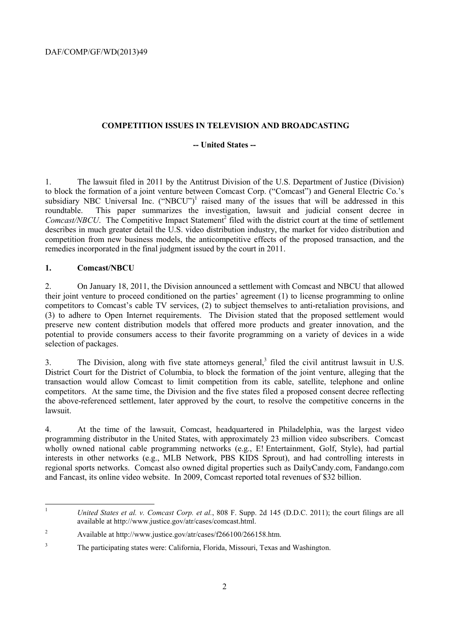## **COMPETITION ISSUES IN TELEVISION AND BROADCASTING**

## **-- United States --**

1. The lawsuit filed in 2011 by the Antitrust Division of the U.S. Department of Justice (Division) to block the formation of a joint venture between Comcast Corp. ("Comcast") and General Electric Co.'s subsidiary NBC Universal Inc. ("NBCU")<sup>1</sup> raised many of the issues that will be addressed in this roundtable. This paper summarizes the investigation, lawsuit and judicial consent decree in Comcast/NBCU. The Competitive Impact Statement<sup>2</sup> filed with the district court at the time of settlement describes in much greater detail the U.S. video distribution industry, the market for video distribution and competition from new business models, the anticompetitive effects of the proposed transaction, and the remedies incorporated in the final judgment issued by the court in 2011.

# **1. Comcast/NBCU**

2. On January 18, 2011, the Division announced a settlement with Comcast and NBCU that allowed their joint venture to proceed conditioned on the parties' agreement (1) to license programming to online competitors to Comcast's cable TV services, (2) to subject themselves to anti-retaliation provisions, and (3) to adhere to Open Internet requirements. The Division stated that the proposed settlement would preserve new content distribution models that offered more products and greater innovation, and the potential to provide consumers access to their favorite programming on a variety of devices in a wide selection of packages.

3. The Division, along with five state attorneys general,<sup>3</sup> filed the civil antitrust lawsuit in U.S. District Court for the District of Columbia, to block the formation of the joint venture, alleging that the transaction would allow Comcast to limit competition from its cable, satellite, telephone and online competitors. At the same time, the Division and the five states filed a proposed consent decree reflecting the above-referenced settlement, later approved by the court, to resolve the competitive concerns in the lawsuit.

4. At the time of the lawsuit, Comcast, headquartered in Philadelphia, was the largest video programming distributor in the United States, with approximately 23 million video subscribers. Comcast wholly owned national cable programming networks (e.g., E! Entertainment, Golf, Style), had partial interests in other networks (e.g., MLB Network, PBS KIDS Sprout), and had controlling interests in regional sports networks. Comcast also owned digital properties such as DailyCandy.com, Fandango.com and Fancast, its online video website. In 2009, Comcast reported total revenues of \$32 billion.

 <sup>1</sup>*United States et al. v. Comcast Corp. et al.*, 808 F. Supp. 2d 145 (D.D.C. 2011); the court filings are all available at http://www.justice.gov/atr/cases/comcast.html.

 $\sqrt{2}$ 2 Available at http://www.justice.gov/atr/cases/f266100/266158.htm.

 $\overline{\mathbf{3}}$ 3 The participating states were: California, Florida, Missouri, Texas and Washington.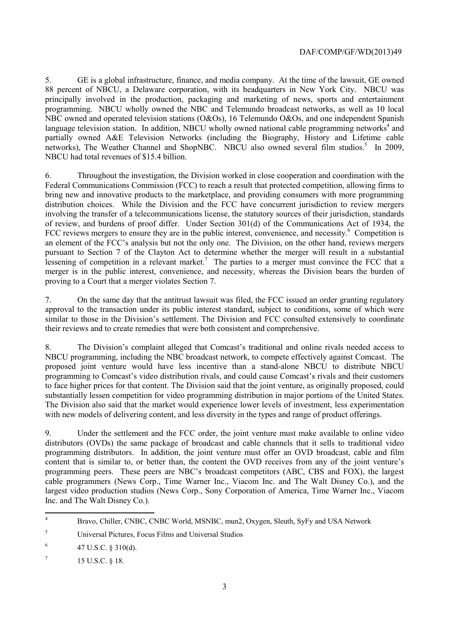language television station. In addition, NBCU wholly owned national cable programming networks<sup>4</sup> and networks), The Weather Channel and ShopNBC. NBCU also owned several film studios.<sup>5</sup> In 2009, 5. GE is a global infrastructure, finance, and media company. At the time of the lawsuit, GE owned 88 percent of NBCU, a Delaware corporation, with its headquarters in New York City. NBCU was principally involved in the production, packaging and marketing of news, sports and entertainment programming. NBCU wholly owned the NBC and Telemundo broadcast networks, as well as 10 local NBC owned and operated television stations (O&Os), 16 Telemundo O&Os, and one independent Spanish partially owned A&E Television Networks (including the Biography, History and Lifetime cable NBCU had total revenues of \$15.4 billion.

lessening of competition in a relevant market.<sup>7</sup> The parties to a merger must convince the FCC that a 6. Throughout the investigation, the Division worked in close cooperation and coordination with the Federal Communications Commission (FCC) to reach a result that protected competition, allowing firms to bring new and innovative products to the marketplace, and providing consumers with more programming distribution choices. While the Division and the FCC have concurrent jurisdiction to review mergers involving the transfer of a telecommunications license, the statutory sources of their jurisdiction, standards of review, and burdens of proof differ. Under Section 301(d) of the Communications Act of 1934, the FCC reviews mergers to ensure they are in the public interest, convenience, and necessity.<sup>6</sup> Competition is an element of the FCC's analysis but not the only one. The Division, on the other hand, reviews mergers pursuant to Section 7 of the Clayton Act to determine whether the merger will result in a substantial merger is in the public interest, convenience, and necessity, whereas the Division bears the burden of proving to a Court that a merger violates Section 7.

7. On the same day that the antitrust lawsuit was filed, the FCC issued an order granting regulatory approval to the transaction under its public interest standard, subject to conditions, some of which were similar to those in the Division's settlement. The Division and FCC consulted extensively to coordinate their reviews and to create remedies that were both consistent and comprehensive.

substantially lessen competition for video programming distribution in major portions of the United States. 8. The Division's complaint alleged that Comcast's traditional and online rivals needed access to NBCU programming, including the NBC broadcast network, to compete effectively against Comcast. The proposed joint venture would have less incentive than a stand-alone NBCU to distribute NBCU programming to Comcast's video distribution rivals, and could cause Comcast's rivals and their customers to face higher prices for that content. The Division said that the joint venture, as originally proposed, could The Division also said that the market would experience lower levels of investment, less experimentation with new models of delivering content, and less diversity in the types and range of product offerings.

 content that is similar to, or better than, the content the OVD receives from any of the joint venture's Inc. and The Walt Disney Co.). 9. Under the settlement and the FCC order, the joint venture must make available to online video distributors (OVDs) the same package of broadcast and cable channels that it sells to traditional video programming distributors. In addition, the joint venture must offer an OVD broadcast, cable and film programming peers. These peers are NBC's broadcast competitors (ABC, CBS and FOX), the largest cable programmers (News Corp., Time Warner Inc., Viacom Inc. and The Walt Disney Co.), and the largest video production studios (News Corp., Sony Corporation of America, Time Warner Inc., Viacom

 $^{6}$  47 U.S.C. § 310(d).

 $^7$  15 U.S.C. § 18.

 $\overline{a}$ 

<sup>4</sup> Bravo, Chiller, CNBC, CNBC World, MSNBC, mun2, Oxygen, Sleuth, SyFy and USA Network

<sup>5</sup> Universal Pictures, Focus Films and Universal Studios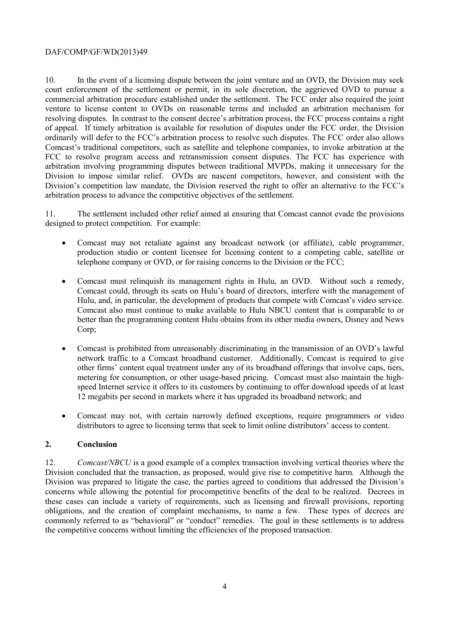## DAF/COMP/GF/WD(2013)49

10. In the event of a licensing dispute between the joint venture and an OVD, the Division may seek court enforcement of the settlement or permit, in its sole discretion, the aggrieved OVD to pursue a commercial arbitration procedure established under the settlement. The FCC order also required the joint venture to license content to OVDs on reasonable terms and included an arbitration mechanism for resolving disputes. In contrast to the consent decree's arbitration process, the FCC process contains a right of appeal. If timely arbitration is available for resolution of disputes under the FCC order, the Division ordinarily will defer to the FCC's arbitration process to resolve such disputes. The FCC order also allows Comcast's traditional competitors, such as satellite and telephone companies, to invoke arbitration at the FCC to resolve program access and retransmission consent disputes. The FCC has experience with arbitration involving programming disputes between traditional MVPDs, making it unnecessary for the Division to impose similar relief. OVDs are nascent competitors, however, and consistent with the Division's competition law mandate, the Division reserved the right to offer an alternative to the FCC's arbitration process to advance the competitive objectives of the settlement.

 11. The settlement included other relief aimed at ensuring that Comcast cannot evade the provisions designed to protect competition. For example:

- telephone company or OVD, or for raising concerns to the Division or the FCC; • Comcast may not retaliate against any broadcast network (or affiliate), cable programmer, production studio or content licensee for licensing content to a competing cable, satellite or
- Hulu, and, in particular, the development of products that compete with Comcast's video service. • Comcast must relinquish its management rights in Hulu, an OVD. Without such a remedy, Comcast could, through its seats on Hulu's board of directors, interfere with the management of Comcast also must continue to make available to Hulu NBCU content that is comparable to or better than the programming content Hulu obtains from its other media owners, Disney and News Corp;
- 12 megabits per second in markets where it has upgraded its broadband network; and • Comcast is prohibited from unreasonably discriminating in the transmission of an OVD's lawful network traffic to a Comcast broadband customer. Additionally, Comcast is required to give other firms' content equal treatment under any of its broadband offerings that involve caps, tiers, metering for consumption, or other usage-based pricing. Comcast must also maintain the highspeed Internet service it offers to its customers by continuing to offer download speeds of at least
- Comcast may not, with certain narrowly defined exceptions, require programmers or video distributors to agree to licensing terms that seek to limit online distributors' access to content.

# **2. Conclusion**

12. *Comcast/NBCU* is a good example of a complex transaction involving vertical theories where the Division concluded that the transaction, as proposed, would give rise to competitive harm. Although the Division was prepared to litigate the case, the parties agreed to conditions that addressed the Division's concerns while allowing the potential for procompetitive benefits of the deal to be realized. Decrees in these cases can include a variety of requirements, such as licensing and firewall provisions, reporting obligations, and the creation of complaint mechanisms, to name a few. These types of decrees are commonly referred to as "behavioral" or "conduct" remedies. The goal in these settlements is to address the competitive concerns without limiting the efficiencies of the proposed transaction.